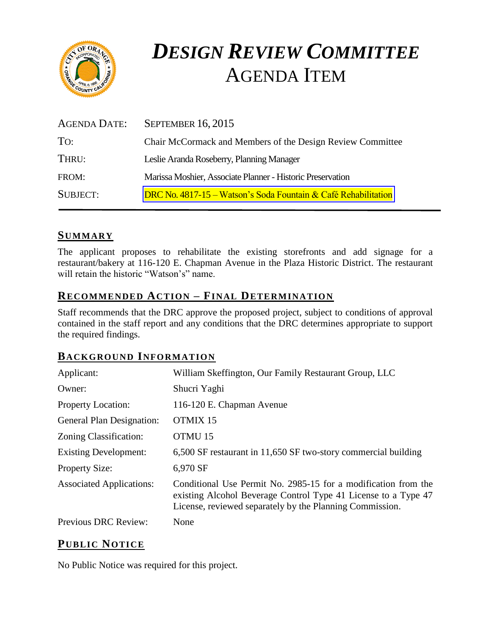

# *DESIGN REVIEW COMMITTEE* AGENDA ITEM

| AGENDA DATE:    | <b>SEPTEMBER 16, 2015</b>                                      |
|-----------------|----------------------------------------------------------------|
| To:             | Chair McCormack and Members of the Design Review Committee     |
| THRU:           | Leslie Aranda Roseberry, Planning Manager                      |
| FROM:           | Marissa Moshier, Associate Planner - Historic Preservation     |
| <b>SUBJECT:</b> | DRC No. 4817-15 – Watson's Soda Fountain & Café Rehabilitation |

#### **SUMMARY**

The applicant proposes to rehabilitate the existing storefronts and add signage for a restaurant/bakery at 116-120 E. Chapman Avenue in the Plaza Historic District. The restaurant will retain the historic "Watson's" name.

#### **RECOMMENDED ACTION – FINAL DETERMINATION**

Staff recommends that the DRC approve the proposed project, subject to conditions of approval contained in the staff report and any conditions that the DRC determines appropriate to support the required findings.

#### **BACKGROUND INFORMATION**

| Applicant:                      | William Skeffington, Our Family Restaurant Group, LLC                                                                                                                                        |
|---------------------------------|----------------------------------------------------------------------------------------------------------------------------------------------------------------------------------------------|
| Owner:                          | Shucri Yaghi                                                                                                                                                                                 |
| <b>Property Location:</b>       | 116-120 E. Chapman Avenue                                                                                                                                                                    |
| General Plan Designation:       | OTMIX 15                                                                                                                                                                                     |
| Zoning Classification:          | OTMU <sub>15</sub>                                                                                                                                                                           |
| <b>Existing Development:</b>    | 6,500 SF restaurant in 11,650 SF two-story commercial building                                                                                                                               |
| <b>Property Size:</b>           | 6,970 SF                                                                                                                                                                                     |
| <b>Associated Applications:</b> | Conditional Use Permit No. 2985-15 for a modification from the<br>existing Alcohol Beverage Control Type 41 License to a Type 47<br>License, reviewed separately by the Planning Commission. |
| Previous DRC Review:            | None                                                                                                                                                                                         |

## **PUB LIC NOTICE**

No Public Notice was required for this project.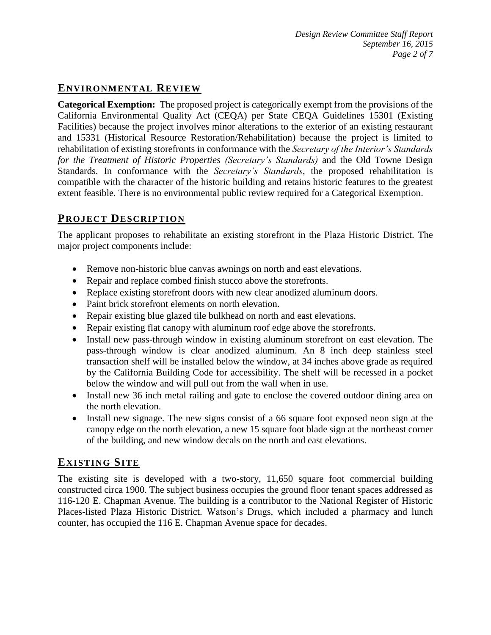## **ENVIRONMENTAL REVIEW**

**Categorical Exemption:** The proposed project is categorically exempt from the provisions of the California Environmental Quality Act (CEQA) per State CEQA Guidelines 15301 (Existing Facilities) because the project involves minor alterations to the exterior of an existing restaurant and 15331 (Historical Resource Restoration/Rehabilitation) because the project is limited to rehabilitation of existing storefronts in conformance with the *Secretary of the Interior's Standards for the Treatment of Historic Properties (Secretary's Standards)* and the Old Towne Design Standards. In conformance with the *Secretary's Standards*, the proposed rehabilitation is compatible with the character of the historic building and retains historic features to the greatest extent feasible. There is no environmental public review required for a Categorical Exemption.

## **PROJECT DESCRIP TION**

The applicant proposes to rehabilitate an existing storefront in the Plaza Historic District. The major project components include:

- Remove non-historic blue canvas awnings on north and east elevations.
- Repair and replace combed finish stucco above the storefronts.
- Replace existing storefront doors with new clear anodized aluminum doors.
- Paint brick storefront elements on north elevation.
- Repair existing blue glazed tile bulkhead on north and east elevations.
- Repair existing flat canopy with aluminum roof edge above the storefronts.
- Install new pass-through window in existing aluminum storefront on east elevation. The pass-through window is clear anodized aluminum. An 8 inch deep stainless steel transaction shelf will be installed below the window, at 34 inches above grade as required by the California Building Code for accessibility. The shelf will be recessed in a pocket below the window and will pull out from the wall when in use.
- Install new 36 inch metal railing and gate to enclose the covered outdoor dining area on the north elevation.
- Install new signage. The new signs consist of a 66 square foot exposed neon sign at the canopy edge on the north elevation, a new 15 square foot blade sign at the northeast corner of the building, and new window decals on the north and east elevations.

## **EXISTING SITE**

The existing site is developed with a two-story, 11,650 square foot commercial building constructed circa 1900. The subject business occupies the ground floor tenant spaces addressed as 116-120 E. Chapman Avenue. The building is a contributor to the National Register of Historic Places-listed Plaza Historic District. Watson's Drugs, which included a pharmacy and lunch counter, has occupied the 116 E. Chapman Avenue space for decades.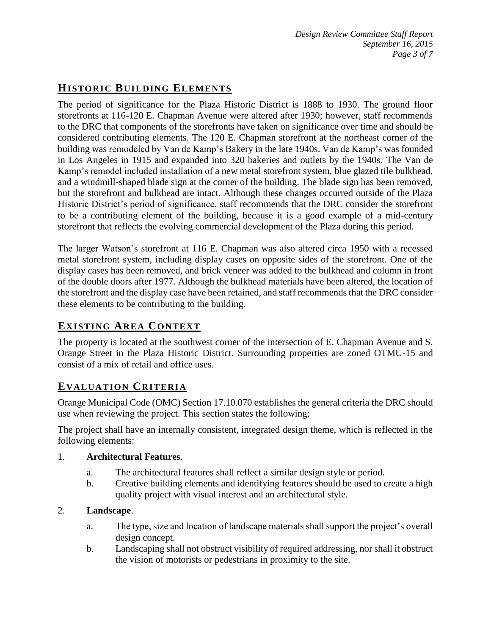# **HISTORIC BUILDING ELEMENTS**

The period of significance for the Plaza Historic District is 1888 to 1930. The ground floor storefronts at 116-120 E. Chapman Avenue were altered after 1930; however, staff recommends to the DRC that components of the storefronts have taken on significance over time and should be considered contributing elements. The 120 E. Chapman storefront at the northeast corner of the building was remodeled by Van de Kamp's Bakery in the late 1940s. Van de Kamp's was founded in Los Angeles in 1915 and expanded into 320 bakeries and outlets by the 1940s. The Van de Kamp's remodel included installation of a new metal storefront system, blue glazed tile bulkhead, and a windmill-shaped blade sign at the corner of the building. The blade sign has been removed, but the storefront and bulkhead are intact. Although these changes occurred outside of the Plaza Historic District's period of significance, staff recommends that the DRC consider the storefront to be a contributing element of the building, because it is a good example of a mid-century storefront that reflects the evolving commercial development of the Plaza during this period.

The larger Watson's storefront at 116 E. Chapman was also altered circa 1950 with a recessed metal storefront system, including display cases on opposite sides of the storefront. One of the display cases has been removed, and brick veneer was added to the bulkhead and column in front of the double doors after 1977. Although the bulkhead materials have been altered, the location of the storefront and the display case have been retained, and staff recommends that the DRC consider these elements to be contributing to the building.

# **EXISTING AREA CONTEXT**

The property is located at the southwest corner of the intersection of E. Chapman Avenue and S. Orange Street in the Plaza Historic District. Surrounding properties are zoned OTMU-15 and consist of a mix of retail and office uses.

## **EVALUATION CRITERIA**

Orange Municipal Code (OMC) Section 17.10.070 establishes the general criteria the DRC should use when reviewing the project. This section states the following:

The project shall have an internally consistent, integrated design theme, which is reflected in the following elements:

#### 1. **Architectural Features**.

- a. The architectural features shall reflect a similar design style or period.
- b. Creative building elements and identifying features should be used to create a high quality project with visual interest and an architectural style.

#### 2. **Landscape**.

- a. The type, size and location of landscape materials shall support the project's overall design concept.
- b. Landscaping shall not obstruct visibility of required addressing, nor shall it obstruct the vision of motorists or pedestrians in proximity to the site.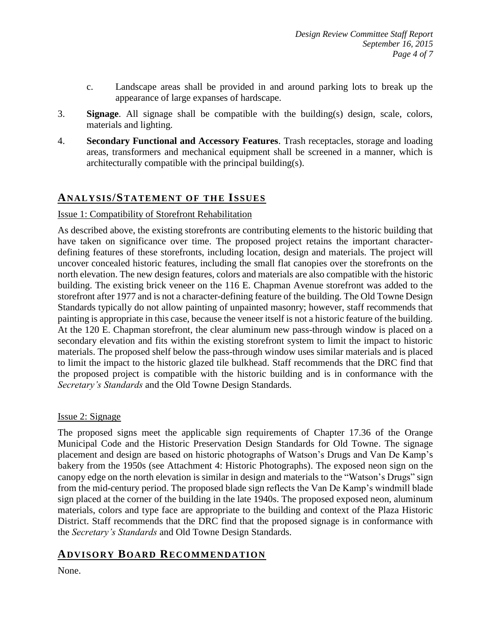- c. Landscape areas shall be provided in and around parking lots to break up the appearance of large expanses of hardscape.
- 3. **Signage**. All signage shall be compatible with the building(s) design, scale, colors, materials and lighting.
- 4. **Secondary Functional and Accessory Features**. Trash receptacles, storage and loading areas, transformers and mechanical equipment shall be screened in a manner, which is architecturally compatible with the principal building(s).

#### **ANALY SIS/STATEMENT OF THE ISSUES**

#### Issue 1: Compatibility of Storefront Rehabilitation

As described above, the existing storefronts are contributing elements to the historic building that have taken on significance over time. The proposed project retains the important characterdefining features of these storefronts, including location, design and materials. The project will uncover concealed historic features, including the small flat canopies over the storefronts on the north elevation. The new design features, colors and materials are also compatible with the historic building. The existing brick veneer on the 116 E. Chapman Avenue storefront was added to the storefront after 1977 and is not a character-defining feature of the building. The Old Towne Design Standards typically do not allow painting of unpainted masonry; however, staff recommends that painting is appropriate in this case, because the veneer itself is not a historic feature of the building. At the 120 E. Chapman storefront, the clear aluminum new pass-through window is placed on a secondary elevation and fits within the existing storefront system to limit the impact to historic materials. The proposed shelf below the pass-through window uses similar materials and is placed to limit the impact to the historic glazed tile bulkhead. Staff recommends that the DRC find that the proposed project is compatible with the historic building and is in conformance with the *Secretary's Standards* and the Old Towne Design Standards.

#### Issue 2: Signage

The proposed signs meet the applicable sign requirements of Chapter 17.36 of the Orange Municipal Code and the Historic Preservation Design Standards for Old Towne. The signage placement and design are based on historic photographs of Watson's Drugs and Van De Kamp's bakery from the 1950s (see Attachment 4: Historic Photographs). The exposed neon sign on the canopy edge on the north elevation is similar in design and materials to the "Watson's Drugs" sign from the mid-century period. The proposed blade sign reflects the Van De Kamp's windmill blade sign placed at the corner of the building in the late 1940s. The proposed exposed neon, aluminum materials, colors and type face are appropriate to the building and context of the Plaza Historic District. Staff recommends that the DRC find that the proposed signage is in conformance with the *Secretary's Standards* and Old Towne Design Standards.

# **ADVISORY BOARD RECOMMENDATION**

None.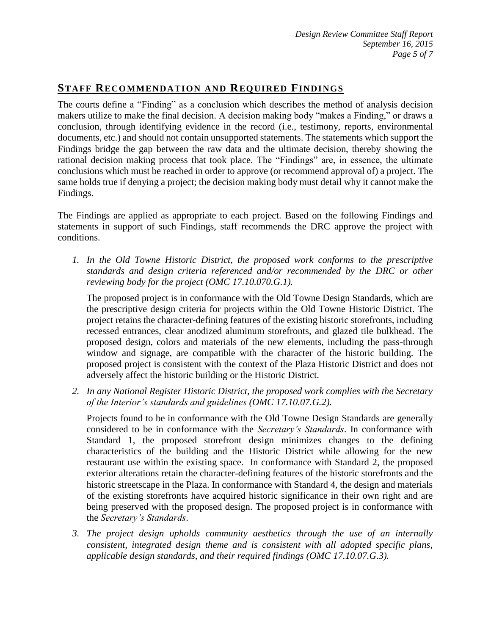## **STAFF RECOMMENDATION AND REQUIRED FINDINGS**

The courts define a "Finding" as a conclusion which describes the method of analysis decision makers utilize to make the final decision. A decision making body "makes a Finding," or draws a conclusion, through identifying evidence in the record (i.e., testimony, reports, environmental documents, etc.) and should not contain unsupported statements. The statements which support the Findings bridge the gap between the raw data and the ultimate decision, thereby showing the rational decision making process that took place. The "Findings" are, in essence, the ultimate conclusions which must be reached in order to approve (or recommend approval of) a project. The same holds true if denying a project; the decision making body must detail why it cannot make the Findings.

The Findings are applied as appropriate to each project. Based on the following Findings and statements in support of such Findings, staff recommends the DRC approve the project with conditions.

*1. In the Old Towne Historic District, the proposed work conforms to the prescriptive standards and design criteria referenced and/or recommended by the DRC or other reviewing body for the project (OMC 17.10.070.G.1).*

The proposed project is in conformance with the Old Towne Design Standards, which are the prescriptive design criteria for projects within the Old Towne Historic District. The project retains the character-defining features of the existing historic storefronts, including recessed entrances, clear anodized aluminum storefronts, and glazed tile bulkhead. The proposed design, colors and materials of the new elements, including the pass-through window and signage, are compatible with the character of the historic building. The proposed project is consistent with the context of the Plaza Historic District and does not adversely affect the historic building or the Historic District.

*2. In any National Register Historic District, the proposed work complies with the Secretary of the Interior's standards and guidelines (OMC 17.10.07.G.2).*

Projects found to be in conformance with the Old Towne Design Standards are generally considered to be in conformance with the *Secretary's Standards*. In conformance with Standard 1, the proposed storefront design minimizes changes to the defining characteristics of the building and the Historic District while allowing for the new restaurant use within the existing space. In conformance with Standard 2, the proposed exterior alterations retain the character-defining features of the historic storefronts and the historic streetscape in the Plaza. In conformance with Standard 4, the design and materials of the existing storefronts have acquired historic significance in their own right and are being preserved with the proposed design. The proposed project is in conformance with the *Secretary's Standards*.

*3. The project design upholds community aesthetics through the use of an internally consistent, integrated design theme and is consistent with all adopted specific plans, applicable design standards, and their required findings (OMC 17.10.07.G.3).*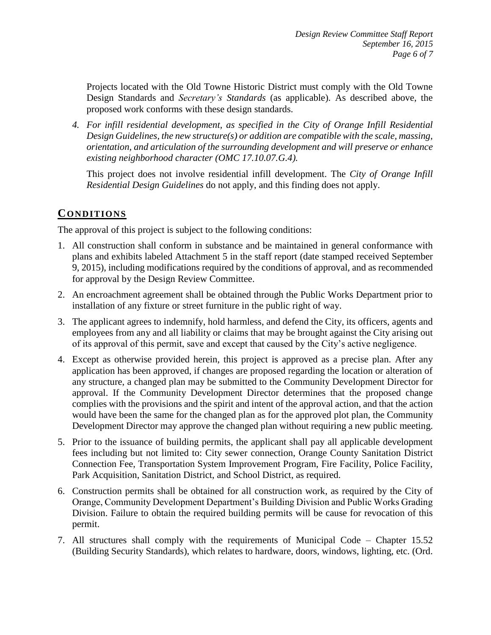Projects located with the Old Towne Historic District must comply with the Old Towne Design Standards and *Secretary's Standards* (as applicable). As described above, the proposed work conforms with these design standards.

*4. For infill residential development, as specified in the City of Orange Infill Residential Design Guidelines, the new structure(s) or addition are compatible with the scale, massing, orientation, and articulation of the surrounding development and will preserve or enhance existing neighborhood character (OMC 17.10.07.G.4).*

This project does not involve residential infill development. The *City of Orange Infill Residential Design Guidelines* do not apply, and this finding does not apply.

#### **CONDITIONS**

The approval of this project is subject to the following conditions:

- 1. All construction shall conform in substance and be maintained in general conformance with plans and exhibits labeled Attachment 5 in the staff report (date stamped received September 9, 2015), including modifications required by the conditions of approval, and as recommended for approval by the Design Review Committee.
- 2. An encroachment agreement shall be obtained through the Public Works Department prior to installation of any fixture or street furniture in the public right of way.
- 3. The applicant agrees to indemnify, hold harmless, and defend the City, its officers, agents and employees from any and all liability or claims that may be brought against the City arising out of its approval of this permit, save and except that caused by the City's active negligence.
- 4. Except as otherwise provided herein, this project is approved as a precise plan. After any application has been approved, if changes are proposed regarding the location or alteration of any structure, a changed plan may be submitted to the Community Development Director for approval. If the Community Development Director determines that the proposed change complies with the provisions and the spirit and intent of the approval action, and that the action would have been the same for the changed plan as for the approved plot plan, the Community Development Director may approve the changed plan without requiring a new public meeting.
- 5. Prior to the issuance of building permits, the applicant shall pay all applicable development fees including but not limited to: City sewer connection, Orange County Sanitation District Connection Fee, Transportation System Improvement Program, Fire Facility, Police Facility, Park Acquisition, Sanitation District, and School District, as required.
- 6. Construction permits shall be obtained for all construction work, as required by the City of Orange, Community Development Department's Building Division and Public Works Grading Division. Failure to obtain the required building permits will be cause for revocation of this permit.
- 7. All structures shall comply with the requirements of Municipal Code Chapter 15.52 (Building Security Standards), which relates to hardware, doors, windows, lighting, etc. (Ord.